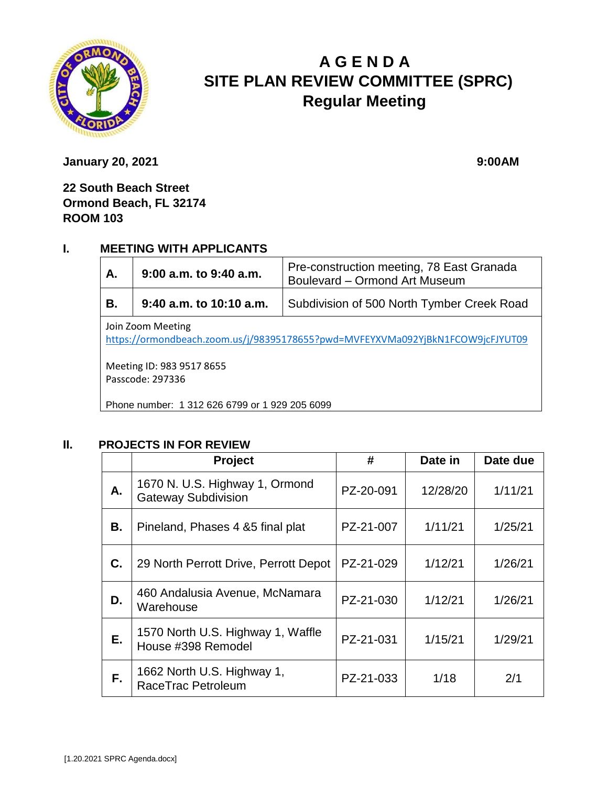

# **A G E N D A SITE PLAN REVIEW COMMITTEE (SPRC) Regular Meeting**

**January 20, 2021** 9:00AM

**22 South Beach Street Ormond Beach, FL 32174 ROOM 103**

#### **I. MEETING WITH APPLICANTS**

| Α.                                                                                                  | $9:00$ a.m. to $9:40$ a.m. | Pre-construction meeting, 78 East Granada<br>Boulevard - Ormond Art Museum |  |  |  |
|-----------------------------------------------------------------------------------------------------|----------------------------|----------------------------------------------------------------------------|--|--|--|
| В.                                                                                                  | $9:40$ a.m. to 10:10 a.m.  | Subdivision of 500 North Tymber Creek Road                                 |  |  |  |
| Join Zoom Meeting<br>https://ormondbeach.zoom.us/j/98395178655?pwd=MVFEYXVMa092YjBkN1FCOW9jcFJYUT09 |                            |                                                                            |  |  |  |
| Meeting ID: 983 9517 8655<br>Passcode: 297336                                                       |                            |                                                                            |  |  |  |
| Phone number: 1 312 626 6799 or 1 929 205 6099                                                      |                            |                                                                            |  |  |  |

# **II. PROJECTS IN FOR REVIEW**

|    | <b>Project</b>                                          | #         | Date in  | Date due |
|----|---------------------------------------------------------|-----------|----------|----------|
| А. | 1670 N. U.S. Highway 1, Ormond<br>Gateway Subdivision   | PZ-20-091 | 12/28/20 | 1/11/21  |
| В. | Pineland, Phases 4 & 5 final plat                       | PZ-21-007 | 1/11/21  | 1/25/21  |
| C. | 29 North Perrott Drive, Perrott Depot                   | PZ-21-029 | 1/12/21  | 1/26/21  |
| D. | 460 Andalusia Avenue, McNamara<br>Warehouse             | PZ-21-030 | 1/12/21  | 1/26/21  |
| Е. | 1570 North U.S. Highway 1, Waffle<br>House #398 Remodel | PZ-21-031 | 1/15/21  | 1/29/21  |
| F. | 1662 North U.S. Highway 1,<br>RaceTrac Petroleum        | PZ-21-033 | 1/18     | 2/1      |